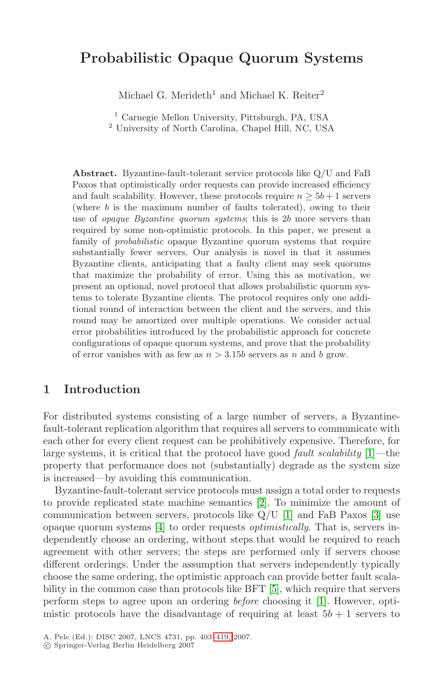# **Probabilistic Opaque Quorum Systems**

Michael G. Merideth<sup>1</sup> and Michael K. Reiter<sup>2</sup>

 $^{\rm 1}$  Carnegie Mellon University, Pittsburgh, PA, USA  $^{\rm 2}$  University of North Carolina, Chapel Hill, NC, USA

**Abstract.** Byzantine-fault-tolerant service protocols like Q/U and FaB Paxos that optimistically order requests can provide increased efficiency and fault scalability. However, these protocols require  $n \geq 5b + 1$  servers (where *b* is the maximum number of faults tolerated), owing to their use of *opaque Byzantine quorum systems*; this is 2*b* more servers than required by some non-optimistic protocols. In this paper, we present a family of *probabilistic* opaque Byzantine quorum systems that require substantially fewer servers. Our analysis is novel in that it assumes Byzantine clients, anticipating that a faulty client may seek quorums that maximize the probability of error. Using this as motivation, we present an optional, novel protocol that allows probabilistic quorum systems to tolerate Byzantine clients. The protocol requires only one additional round of interaction between the client and the servers, and this round may be amortized over multiple operations. We consider actual error probabilities introduced by the probabilistic approach for concrete configurations of opaque quorum systems, and prove that the probability of error vanishes with [as](#page-15-0) few as  $n > 3.15b$  servers as *n* and *b* grow.

# **1 Introduction**

For distributed systems con[sis](#page-15-1)tin[g o](#page-15-0)f a large number [o](#page-15-2)f servers, a Byzantinefault-t[ol](#page-15-3)erant replication algorithm that requires all servers to communicate with each other for every client request can be prohibitively expensive. Therefore, for large systems, it is critical that the protocol have good *fault scalability* [1]—the property that performance does not (substantially) degrade as the system size is increased—by avoiding this communication.

Byzantine-fault-tolerant serv[ice](#page-15-4) protocols must assign a total order to requests to provide replicated state machine sema[nt](#page-15-0)ics [2]. To minimize the amount of communication between servers, protocols like Q/U [1] and FaB Paxos [3] use opaque quorum systems [4] to order requests *optimistically*. That is, servers independently choos[e an](#page-16-0) ordering, without steps that would be required to reach agreement with other servers; the steps are performed only if servers choose different orderings. Under the assumption that servers independently typically choose the same ordering, the optimistic approach can provide better fault scalability in the common case than protocols like BFT [5], which require that servers perform steps to agree upon an ordering *before* choosing it [1]. However, optimistic protocols have the disadvantage of requiring at least  $5b + 1$  servers to

A. Pelc (Ed.): DISC 2007, LNCS 4731, pp. 403–419, 2007.

<sup>-</sup>c Springer-Verlag Berlin Heidelberg 2007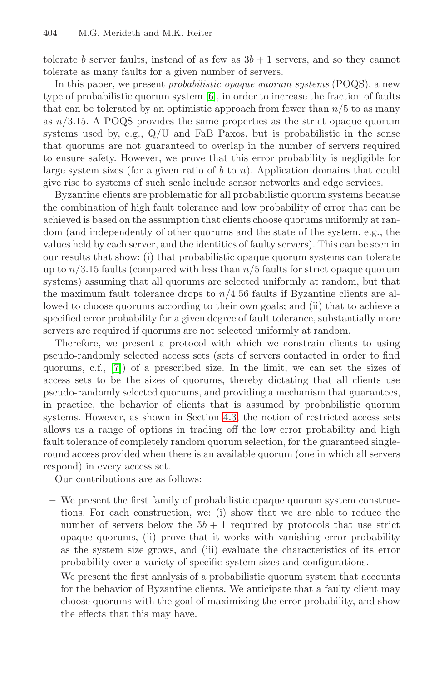#### 404 M.G. Merideth and M.K. Reiter

tolerate b server faults, instead of as few as  $3b + 1$  servers, and so they cannot tolerate as many faults for a given number of servers.

In this paper, we present *probabilistic opaque quorum systems* (POQS), a new type of probabilistic quorum system [6], in order to increase the fraction of faults that can be tolerated by an optimistic approach from fewer than  $n/5$  to as many as  $n/3.15$ . A POQS provides the same properties as the strict opaque quorum systems used by, e.g.,  $Q/U$  and FaB Paxos, but is probabilistic in the sense that quorums are not guaranteed to overlap in the number of servers required to ensure safety. However, we prove that this error probability is negligible for large system sizes (for a given ratio of  $b$  to  $n$ ). Application domains that could give rise to systems of such scale include sensor networks and edge services.

Byzantine clients are problematic for all probabilistic quorum systems because the combination of high fault tolerance and low probability of error that can be achieved is based on the assumption that clients choose quorums uniformly at random (and independently of other quorums and the state of the system, e.g., the values held by each server, and the identities of faulty servers). This can be seen in our results that show: (i) that probabilistic opaque quorum systems can tolerate up to  $n/3.15$  faults (compared with less than  $n/5$  faults for strict opaque quorum systems) assuming that all quorums are selected uniformly at random, but that the maximum fault tolerance drops to  $n/4.56$  faults if Byzantine clients are allowed to choose quorums according to their own goals; and (ii) that to achieve a specified error proba[bility](#page-9-0) for a given degree of fault tolerance, substantially more servers are required if quorums are not selected uniformly at random.

Therefore, we present a protocol with which we constrain clients to using pseudo-randomly selected access sets (sets of servers contacted in order to find quorums, c.f., [7]) of a prescribed size. In the limit, we can set the sizes of access sets to be the sizes of quorums, thereby dictating that all clients use pseudo-randomly selected quorums, and providing a mechanism that guarantees, in practice, the behavior of clients that is assumed by probabilistic quorum systems. However, as shown in Section 4.3, the notion of restricted access sets allows us a range of options in trading off the low error probability and high fault tolerance of completely random quorum selection, for the guaranteed singleround access provided when there is an available quorum (one in which all servers respond) in every access set.

Our contributions are as follows:

- **–** We present the first family of probabilistic opaque quorum system constructions. For each construction, we: (i) show that we are able to reduce the number of servers below the  $5b + 1$  required by protocols that use strict opaque quorums, (ii) prove that it works with vanishing error probability as the system size grows, and (iii) evaluate the characteristics of its error probability over a variety of specific system sizes and configurations.
- **–** We present the first analysis of a probabilistic quorum system that accounts for the behavior of Byzantine clients. We anticipate that a faulty client may choose quorums with the goal of maximizing the error probability, and show the effects that this may have.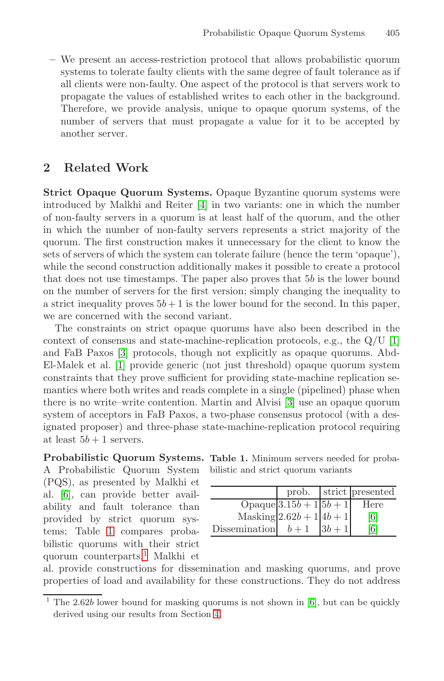**–** We present an access-restriction protocol that allows probabilistic quorum systems to tolerate faulty clients with the same degree of fault tolerance as if all clients were non-faulty. One aspect of the protocol is that servers work to propagate the values of established writes to each other in the background. Therefore, [we](#page-15-3) provide analysis, unique to opaque quorum systems, of the number of servers that must propagate a value for it to be accepted by another server.

# **2 Related Work**

**Strict Opaque Quorum Systems.** Opaque Byzantine quorum systems were introduced by Malkhi and Reiter [4] in two variants: one in which the number of non-faulty servers in a quorum is at least half of the quorum, and the other in which the number of non-faulty servers represents a strict majority of the quorum. The first construction makes it unnecessary for t[he](#page-15-0) client to know the sets of servers of which the system can tolerate failure (hence the term 'opaque'), while the second construction additionally makes it possible to create a protocol that does not use timestamps. The paper also proves that 5b is the lower bound on the number of servers for the first version; simply changing the inequality to a strict inequality proves  $5b + 1$  is t[he](#page-15-2) lower bound for the second. In this paper, we are concerned with the second variant.

The constraints on strict opaque quorums have also been described in the context of consensus and state-machine-replication protocols, e.g., the Q/U [1] and FaB Paxos [3] protocols, though not explicitly as opaque quorums. Abd-El-Malek et al. [1] provide generic (not just threshold) opaque quorum system constraints that they prove sufficient for providing state-machine replication semantics where both writes and reads complete in a single (pipelined) phase when there is no write–write contention. Martin and Alvisi [3] use an opaque quorum system of acceptors in FaB Paxos, a two-phase consensus protocol (with a designated proposer) and three-phase state-machine-rep[lic](#page-15-5)ation protocol requiring at least  $5b + 1$  servers.

**Pr[ob](#page-2-0)abilistic Quorum Systems.** A Probabilistic Quorum System (PQS), as presented by Malkhi et al. [6], can provide better availability and fault tolerance than provided by stric[t](#page-5-0) quorum systems; Table 1 compares probabilistic quorums with their strict quorum counterparts.<sup>1</sup> Malkhi et

|  | <b>Table 1.</b> Minimum servers needed for proba- |  |  |  |
|--|---------------------------------------------------|--|--|--|
|  | bilistic and strict quorum variants               |  |  |  |

|                     | prob.                           | strict presented |
|---------------------|---------------------------------|------------------|
|                     | Opaque $3.15b+15b+1$            | Here             |
|                     | Masking $2.62b + 1 \,  4b + 1 $ | [6]              |
| Dissemination $b+1$ |                                 |                  |

<span id="page-2-0"></span>al. provide constructions for dissemination and masking quorums, and prove properties of load and availability for these constructions. They do not address

<sup>1</sup> The 2*.*62*b* lower bound for masking quorums is not shown in [6], but can be quickly derived using our results from Section 4.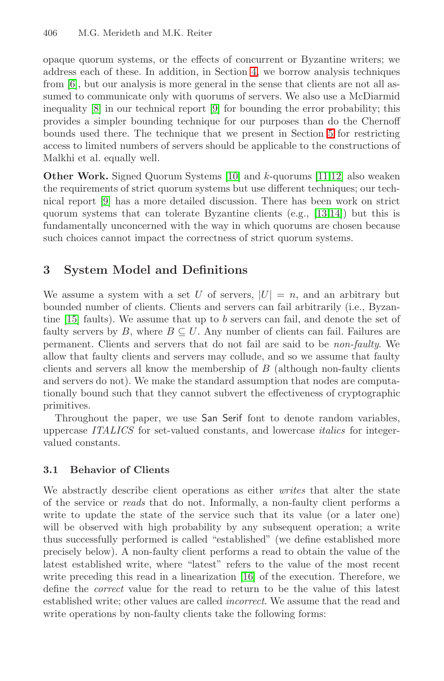opaque quorum systems, or the effects of concurrent or Byzantine writers; we address each of these. In addition, in Section 4, we borrow analysis techniques from [6], but our anal[ysis](#page-16-1) is more general [in](#page-16-2) [t](#page-16-2)[he](#page-16-3) sense that clients are not all assumed to communicate only with quorums of servers. We also use a McDiarmid inequality [8] in our technical report [9] for bounding the error probability; this provides a simpler bounding technique f[or](#page-16-4) [o](#page-16-4)[ur](#page-16-5) purposes than do the Chernoff bounds used there. The technique that we present in Section 5 for restricting access to limited numbers of servers should be applicable to the constructions of Malkhi et al. equally well.

**Other Work.** Signed Quorum Systems [10] and k-quorums [11,12] also weaken the requirements of strict quorum systems but use different techniques; our technical report [9] has a more detailed discussion. There has been work on strict quorum systems that can tolerate Byzantine clients  $(e.g., [13,14])$  but this is fundamentally unconcerned with the way in which quorums are chosen because such choices cannot impact the correctness of strict quorum systems.

# **3 System Model and Definitions**

We assume a system with a set U of servers,  $|U| = n$ , and an arbitrary but bounded number of clients. Clients and servers can fail arbitrarily (i.e., Byzantine  $[15]$  faults). We assume that up to b servers can fail, and denote the set of faulty servers by B, where  $B \subseteq U$ . Any number of clients can fail. Failures are permanent. Clients and servers that do not fail are said to be *non-faulty*. We allow that faulty clients and servers may collude, and so we assume that faulty clients and servers all know the membership of B (although non-faulty clients and servers do not). We make the standard assumption that nodes are computationally bound such that they cannot subvert the effectiveness of cryptographic primitives.

<span id="page-3-0"></span>Throughout the paper, we use San Serif font to denote random variables, uppercase *ITALICS* for set-valued constants, and lowercase *italics* for integervalued constants.

### **3.1 Behavior of Clients**

We abstractly describe [clien](#page-16-6)t operations as either *writes* that alter the state of the service or *reads* that do not. Informally, a non-faulty client performs a write to update the state of the service such that its value (or a later one) will be observed with high probability by any subsequent operation; a write thus successfully performed is called "established" (we define established more precisely below). A non-faulty client performs a read to obtain the value of the latest established write, where "latest" refers to the value of the most recent write preceding this read in a linearization [16] of the execution. Therefore, we define the *correct* value for the read to return to be the value of this latest established write; other values are called *incorrect*. We assume that the read and write operations by non-faulty clients take the following forms: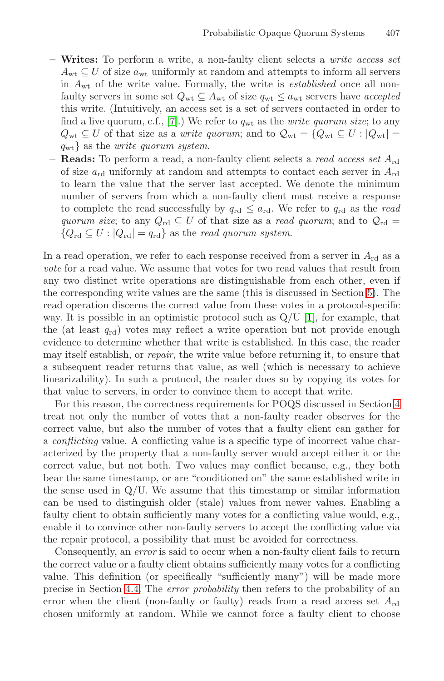- **Writes:** To perform a write, a non-faulty client selects a *write access set*  $A_{\rm wt} \subseteq U$  of size  $a_{\rm wt}$  uniformly at random and attempts to inform all servers in Awt of the write value. Formally, the write is *established* once all nonfaulty servers in some set  $Q_{\rm wt} \subseteq A_{\rm wt}$  of size  $q_{\rm wt} \leq a_{\rm wt}$  servers have *accepted* this write. (Intuitively, an access set is a set of servers contacted in order to find a live quorum, c.f., [7].) We refer to  $q_{wt}$  as the *write quorum size*; to any  $Q_{\rm wt} \subseteq U$  of that size as a *write quorum*; and to  $\mathcal{Q}_{\rm wt} = \{Q_{\rm wt} \subseteq U : |Q_{\rm wt}| =$ qwt} as the *write quorum system*.
- **Reads:** To perform a read, a non-faulty client selects a *read access set* Ard of size  $a_{\rm rd}$  uniformly at random and attempts to contact each server in  $A_{\rm rd}$ to learn the value that the server last accepted. We denote the minimum number of servers from which a non-faulty clie[nt](#page-10-0) must receive a response to complete the read successfully by  $q_{\rm rd} \leq a_{\rm rd}$ . We refer to  $q_{\rm rd}$  as the *read quorum size*; to any  $Q_{\text{rd}} \subseteq U$  of th[at](#page-15-0) size as a *read quorum*; and to  $Q_{\text{rd}} =$  ${Q_{\rm rd} \subseteq U : |Q_{\rm rd}| = q_{\rm rd}}$  as the *read quorum system*.

In a read operation, we refer to each response received from a server in  $A_{\rm rd}$  as a *vote* for a read value. We assume that votes for two read values that result from any two distinct write operations are distinguishable from each other, even if the corresponding write values are the same (this is discussed in Section 5). The read operation discerns the correct value from these votes [in](#page-5-0) a protocol-specific way. It is possible in an optimistic protocol such as  $Q/U$  [1], for example, that the (at least  $q_{rd}$ ) votes may reflect a write operation but not provide enough evidence to determine whether that write is established. In this case, the reader may itself establish, or *repair*, the write value before returning it, to ensure that a subsequent reader returns that value, as well (which is necessary to achieve linearizability). In such a protocol, the reader does so by copying its votes for that value to servers, in order to convince them to accept that write.

For this reason, the correctness requirements for POQS discussed in Section 4 treat not only the number of votes that a non-faulty reader observes for the correct value, but also the number of votes that a faulty client can gather for a *conflicting* value. A conflicting value is a specific type of incorrect value characterized by the property that a non-faulty server would accept either it or the correct value, but not both. Two values may conflict because, e.g., they both bear the same timestamp, or are "conditioned on" the same established write in [the](#page-9-1) sense used in  $Q/U$ . We assume that this timestamp or similar information can be used to distinguish older (stale) values from newer values. Enabling a faulty client to obtain sufficiently many votes for a conflicting value would, e.g., enable it to convince other non-faulty servers to accept the conflicting value via the repair protocol, a possibility that must be avoided for correctness.

Consequently, an *error* is said to occur when a non-faulty client fails to return the correct value or a faulty client obtains sufficiently many votes for a conflicting value. This definition (or specifically "sufficiently many") will be made more precise in Section 4.4. The *error probability* then refers to the probability of an error when the client (non-faulty or faulty) reads from a read access set  $A_{\rm rd}$ chosen uniformly at random. While we cannot force a faulty client to choose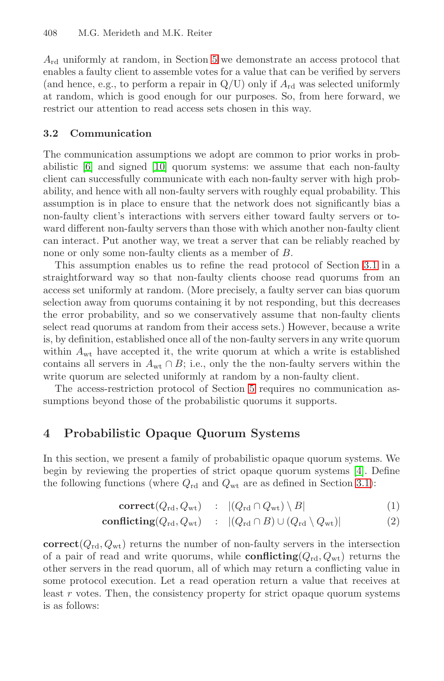Ard uniformly at random, in Section 5 we demonstrate an access protocol that enabl[es a](#page-16-1) faulty client to assemble votes for a value that can be verified by servers (and hence, e.g., to perform a repair in  $Q/U$ ) only if  $A_{rd}$  was selected uniformly at random, which is good enough for our purposes. So, from here forward, we restrict our attention to read access sets chosen in this way.

#### **3.2 Communication**

The communication assumptions we adopt are common to prior works in probabilistic [6] and signed [10] quorum systems: we a[ssum](#page-3-0)e that each non-faulty client can successfully communicate with each non-faulty server with high probability, and hence with all non-faulty servers with roughly equal probability. This assumption is in place to ensure that the network does not significantly bias a non-faulty client's interactions with servers either toward faulty servers or toward different non-faulty servers than those with which another non-faulty client can interact. Put another way, we treat a server that can be reliably reached by none or only some non-faulty clients as a member of B.

<span id="page-5-0"></span>This assumption enables us to refine the read protocol of Section 3.1 in a straightforward way so that non-faulty clients choose read quorums from an access set uniformly at ran[do](#page-10-0)m. (More precisely, a faulty server can bias quorum selection away from quorums containing it by not responding, but this decreases the error probability, and so we conservatively assume that non-faulty clients select read quorums at random from their access sets.) However, because a write is, by definition, established once all of the non-faulty servers in any write quorum within  $A_{wt}$  have accepted it, the write quorum at which a write is established contains all servers in  $A_{wt} \cap B$ ; i.e., only the the non-faulty servers within the write quorum are selected uniforml[y a](#page-15-3)t random by a non-faulty client.

The access-restriction protocol of Section 5 re[quir](#page-3-0)es no communication assumptions beyond those of the probabilistic quorums it supports.

# **4 Probabilistic Opaque Quorum Systems**

In this section, we present a family of probabilistic opaque quorum systems. We begin by reviewing the properties of strict opaque quorum systems [4]. Define the following functions (where  $Q_{\rm rd}$  and  $Q_{\rm wt}$  are as defined in Section 3.1):

$$
correct(Q_{rd}, Q_{wt}) : |(Q_{rd} \cap Q_{wt}) \setminus B|
$$
\n(1)

$$
\text{conficting}(Q_{\text{rd}}, Q_{\text{wt}}) \quad : \quad |(Q_{\text{rd}} \cap B) \cup (Q_{\text{rd}} \setminus Q_{\text{wt}})| \tag{2}
$$

**correct** $(Q_{rd}, Q_{wt})$  returns the number of non-faulty servers in the intersection of a pair of read and write quorums, while **conflicting** $(Q_{rd}, Q_{wt})$  returns the other servers in the read quorum, all of which may return a conflicting value in some protocol execution. Let a read operation return a value that receives at least r votes. Then, the consistency property for strict opaque quorum systems is as follows: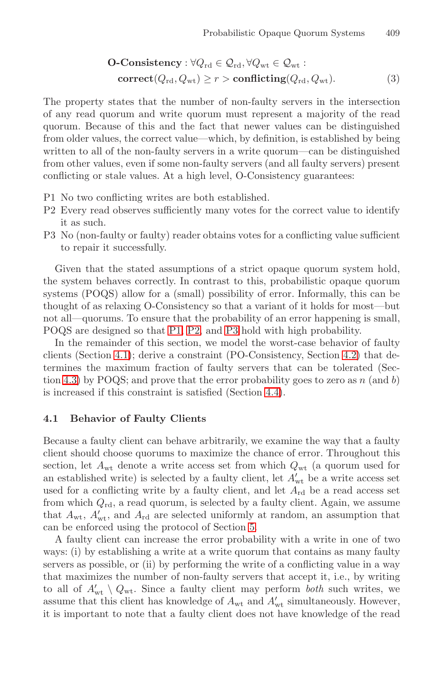**O-Consistency**: 
$$
\forall Q_{\text{rd}} \in Q_{\text{rd}}, \forall Q_{\text{wt}} \in Q_{\text{wt}}
$$
:  
correct( $Q_{\text{rd}}, Q_{\text{wt}}$ )  $\geq r > \text{conficting}(Q_{\text{rd}}, Q_{\text{wt}})$ . (3)

<span id="page-6-2"></span><span id="page-6-1"></span><span id="page-6-0"></span>The property states that the number of non-faulty servers in the intersection of any read quorum and write quorum must represent a majority of the read quorum. Because of this and the fact that newer values can be distinguished from older values, the correct value—which, by definition, is established by being written to all of the non-faulty servers in a write quorum—can be distinguished from other values, even if some non-faulty servers (and all faulty servers) present conflicting or stale values. At a high level, O-Consistency guarantees:

- P1 No two conflicting writes are both established.
- P2 Every read observes sufficiently many votes for the correct value to identify it as such.
- P3 No ([non-](#page-6-0)[faul](#page-6-1)ty or [faul](#page-6-2)ty) reader obtains votes for a conflicting value sufficient to repair it successfully.

Given that the stated assumptions of a stri[ct](#page-7-0) [o](#page-7-0)paque quorum system hold, the system behaves correctly. In contrast to this, probabilistic opaque quorum systems (POQS) allow for a ([sma](#page-9-1)ll) possibility of error. Informally, this can be thought of as relaxing O-Consistency so that a variant of it holds for most—but not all—quorums. To ensure that the probability of an error happening is small, POQS are designed so that P1, P2, and P3 hold with high probability.

<span id="page-6-3"></span>In the remainder of this section, we model the worst-case behavior of faulty clients (Section 4.1); derive a constraint (PO-Consistency, Section 4.2) that determines the maximum fraction of faulty servers that can be tolerated (Section 4.3) by POQS; and prove that the error probability goes to zero as n (and b) is increased if this constraint is satisfied (Section 4.4).

### **4.1 Behavior of Faulty Clients**

Because a faulty client can [b](#page-10-0)ehave arbitrarily, we examine the way that a faulty client should choose quorums to maximize the chance of error. Throughout this section, let  $A_{\rm wt}$  denote a write access set from which  $Q_{\rm wt}$  (a quorum used for an established write) is selected by a faulty client, let  $A'_{\rm wt}$  be a write access set used for a conflicting write by a faulty client, and let  $A_{\rm rd}$  be a read access set from which  $Q_{rd}$ , a read quorum, is selected by a faulty client. Again, we assume that  $A_{\rm wt}$ ,  $A'_{\rm wt}$ , and  $A_{\rm rd}$  are selected uniformly at random, an assumption that can be enforced using the protocol of Section 5.

A faulty client can increase the error probability with a write in one of two ways: (i) by establishing a write at a write quorum that contains as many faulty servers as possible, or (ii) by performing the write of a conflicting value in a way that maximizes the number of non-faulty servers that accept it, i.e., by writing to all of  $A'_{\rm wt} \setminus Q_{\rm wt}$ . Since a faulty client may perform *both* such writes, we assume that this client has knowledge of  $A_{wt}$  and  $A'_{wt}$  simultaneously. However, it is important to note that a faulty client does not have knowledge of the read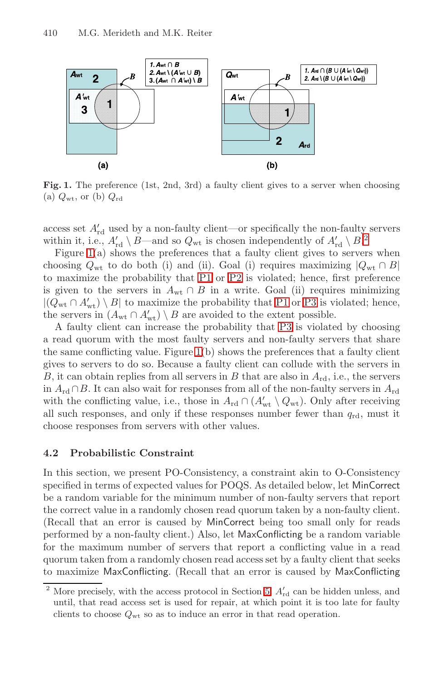<span id="page-7-1"></span>

Fig. 1. The pref[eren](#page-6-0)ce [\(1st,](#page-6-1) 2nd, 3rd) a faulty client gives to a server when choosing (a) *Q*wt, or (b) *Q*rd

access set  $A'_{\rm rd}$  used by a non-faul[ty c](#page-6-2)lient—or specifically the non-faulty servers within it, i.e.,  $A'_{\text{rd}} \setminus B$ —and so  $Q_{\text{wt}}$  is chosen independently of  $A'_{\text{rd}} \setminus B$ .<sup>2</sup>

Figure  $1(a)$  [sh](#page-7-1)ows the preferences that a faulty client gives to servers when choosing  $Q_{\rm wt}$  to do both (i) and (ii). Goal (i) requires maximizing  $|Q_{\rm wt} \cap B|$ to maximize the probability that P1 or P2 is violated; hence, first preference is given to the servers in  $A_{wt} \cap B$  in a write. Goal (ii) requires minimizing  $|(Q_{\rm wt} \cap A_{\rm wt}') \setminus B|$  to maximize the probability that P1 or P3 is violated; hence, the servers in  $(A_{wt} \cap A_{wt}') \setminus B$  are avoided to the extent possible.

<span id="page-7-0"></span>A faulty client can increase the probability that P3 is violated by choosing a read quorum with the most faulty servers and non-faulty servers that share the same conflicting value. Figure 1(b) shows the preferences that a faulty client gives to servers to do so. Because a faulty client can collude with the servers in B, it can obtain replies from all servers in B that are also in  $A_{rd}$ , i.e., the servers in  $A_{rd} ∩ B$ . It can also wait for responses from all of the non-faulty servers in  $A_{rd}$ with the conflicting value, i.e., those in  $A_{rd} \cap (A'_{wt} \setminus Q_{wt})$ . Only after receiving all such responses, and only if these responses number fewer than  $q_{\rm rd}$ , must it choose responses from servers with other values.

### **4.2 Probabilistic Constraint**

In this section, we present PO-Consistency, a constraint akin to O-Consistency specified in terms of expected values for POQS. As detailed below, let MinCorrect be a random variable for the [min](#page-10-0)imum number of non-faulty servers that report the correct value in a randomly chosen read quorum taken by a non-faulty client. (Recall that an error is caused by MinCorrect being too small only for reads performed by a non-faulty client.) Also, let MaxConflicting be a random variable for the maximum number of servers that report a conflicting value in a read quorum taken from a randomly chosen read access set by a faulty client that seeks to maximize MaxConflicting. (Recall that an error is caused by MaxConflicting

<sup>&</sup>lt;sup>2</sup> More precisely, with the access protocol in Section 5,  $A'_{\text{rd}}$  can be hidden unless, and until, that read access set is used for repair, at which point it is too late for faulty clients to choose *Q*wt so as to induce an error in that read operation.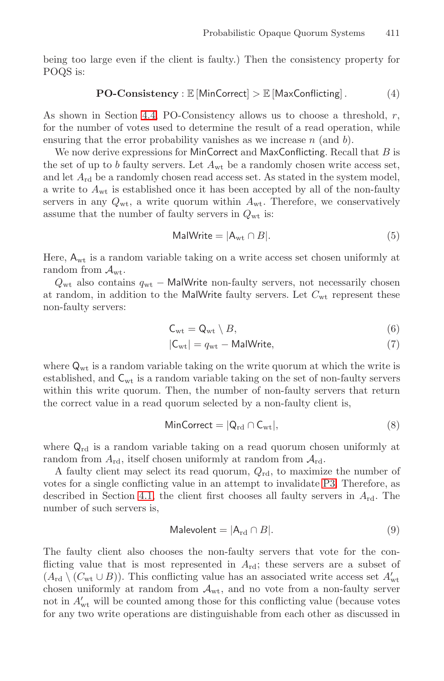being too large even if the client is faulty.) Then the consistency property for POQS is:

**PO-Consistency**: 
$$
\mathbb{E}\left[\text{MinCorrect}\right] > \mathbb{E}\left[\text{MaxConflicing}\right].
$$
 (4)

As shown in Section 4.4, PO-Consistency allows us to choose a threshold,  $r$ , for the number of votes used to determine the result of a read operation, while ensuring that the error probability vanishes as we increase  $n$  (and  $b$ ).

We now derive expressions for MinCorrect and MaxConflicting. Recall that  $B$  is the set of up to b faulty servers. Let  $A_{wt}$  be a randomly chosen write access set, and let  $A_{\rm rd}$  be a randomly chosen read access set. As stated in the system model, a write to  $A_{\rm wt}$  is established once it has been accepted by all of the non-faulty servers in any  $Q_{\rm wt}$ , a write quorum within  $A_{\rm wt}$ . Therefore, we conservatively assume that the number of faulty servers in  $Q_{\rm wt}$  is:

$$
\text{MalWrite} = |\mathbf{A}_{\text{wt}} \cap B|.\tag{5}
$$

Here, <sup>A</sup>wt is a random variable taking on a write access set chosen uniformly at random from  $A_{wt}$ .

 $Q_{\rm wt}$  also contains  $q_{\rm wt}$  – MalWrite non-faulty servers, not necessarily chosen at random, in addition to the MalWrite faulty servers. Let  $C_{\rm wt}$  represent these non-faulty servers:

$$
C_{\rm wt} = Q_{\rm wt} \setminus B,\tag{6}
$$

$$
|\mathsf{C}_{\text{wt}}| = q_{\text{wt}} - \text{MalWrite},\tag{7}
$$

where  $Q_{wt}$  is a random variable taking on the write quorum at which the write is established, and  $C_{wt}$  is a random variable taking on the set of non-faulty servers within this write quorum. Then, the num[ber](#page-6-2) of non-faulty servers that return th[e](#page-6-3) [co](#page-6-3)rrect value in a read quorum selected by a non-faulty client is,

$$
\text{MinCorrect} = |Q_{\text{rd}} \cap C_{\text{wt}}|,\tag{8}
$$

where  $\mathsf{Q}_{\text{rd}}$  is a random variable taking on a read quorum chosen uniformly at random from  $A_{\rm rd}$ , itself chosen uniformly at random from  $A_{\rm rd}$ .

A faulty client may select its read quorum,  $Q_{\text{rd}}$ , to maximize the number of votes for a single conflicting value in an attempt to invalidate P3. Therefore, as described in Section 4.1, the client first chooses all faulty servers in  $A_{rd}$ . The number of such servers is,

$$
Malevolent = |A_{rd} \cap B|.
$$
 (9)

The faulty client also chooses the non-faulty servers that vote for the conflicting value that is most represented in  $A_{\rm rd}$ ; these servers are a subset of  $(A_{\rm rd} \setminus (C_{\rm wt} \cup B))$ . This conflicting value has an associated write access set  $A'_{\rm wt}$ chosen uniformly at random from  $A_{wt}$ , and no vote from a non-faulty server not in  $A'_{\rm wt}$  will be counted among those for this conflicting value (because votes for any two write operations are distinguishable from each other as discussed in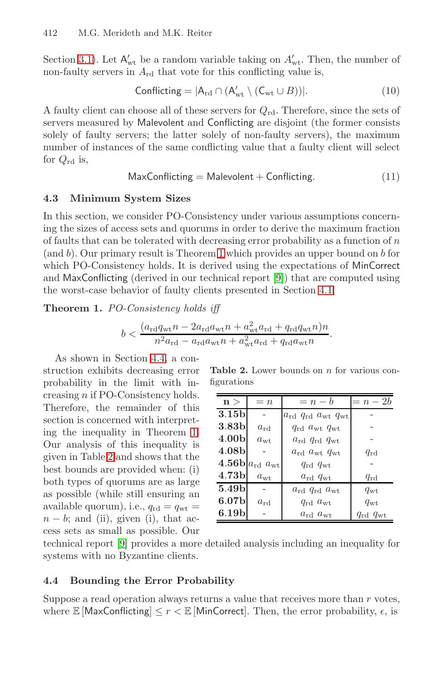#### 412 M.G. Merideth and M.K. Reiter

Section 3.1). Let  $A'_{\rm wt}$  be a random variable taking on  $A'_{\rm wt}$ . Then, the number of non-faulty servers in  $A_{\rm vt}$  that vote for this conflicting value is non-faulty servers in  $A_{\rm rd}$  that vote for this conflicting value is,

$$
Conficting = |A_{rd} \cap (A'_{wt} \setminus (C_{wt} \cup B))|.
$$
 (10)

<span id="page-9-0"></span>A faulty client can choose all of these servers for  $Q_{\rm rd}$ . Therefore, since the sets of servers measured by Malevolent and Conflicting are disjoint (the former consists solely of faulty servers; the latter solely of non-faulty servers), the maximum number of instances of the same conflicting value that a faulty client will select for  $Q_{\rm rd}$  is,

$$
MaxConfig = Malevolent + Conflicing. \t(11)
$$

#### **4.3 Minimum System Sizes**

In this section, we consider PO-Consistency under various assumptions concerning the sizes of access sets and quorums in order to derive the maximum fraction of faults that can be tolerated with decreasing error probability as a function of  $n$  $(and b)$ . Our primary result is Theorem 1 which provides an upper bound on b for whic[h](#page-9-1) [PO](#page-9-1)-Consistency holds. It is derived using the expectations of MinCorrect and MaxConflicting (derived in our technical report [9]) that are computed using the worst-case behavior of faulty clients presented in Section 4.1.

**Theorem 1.** *PO-Consistency holds iff*

$$
b < \frac{(a_{\rm rd}q_{\rm wt}n - 2a_{\rm rd}a_{\rm wt}n + a_{\rm wt}^2a_{\rm rd} + q_{\rm rd}q_{\rm wt}n)n}{n^2 a_{\rm rd} - a_{\rm rd}a_{\rm wt}n + a_{\rm wt}^2a_{\rm rd} + q_{\rm rd}a_{\rm wt}n}.
$$

As shown in Section 4.4, a construction exhibits decreasing error probability in the limit with increasing n if PO-Consistency holds. Therefore, the remainder of this section is concerned with interpreting the inequality in Theorem 1. Our analysis of this inequality is given in Table 2 and shows that the best bounds are provided when: (i) both types of quorums are as large as possible (while still ensuring an available quorum), i.e.,  $q_{\text{rd}} = q_{\text{wt}} =$  $n - b$ ; and (ii), given (i), that access sets as small as possible. Our

**Table 2.** Lower bounds on *<sup>n</sup>* for various configurations

| n >               | $=n$                            | $=n-b$                                              | $=n-2b$                   |
|-------------------|---------------------------------|-----------------------------------------------------|---------------------------|
| 3.15 <sub>b</sub> |                                 | $a_{\rm rd}$ $q_{\rm rd}$ $a_{\rm wt}$ $q_{\rm wt}$ |                           |
| 3.83b             | $a_{\rm rd}$                    | $q_{\rm rd}$ $a_{\rm wt}$ $q_{\rm wt}$              |                           |
| 4.00 <sub>b</sub> | $a_{\rm wt}$                    | $a_{\rm rd}$ $q_{\rm rd}$ $q_{\rm wt}$              |                           |
| 4.08b             |                                 | $a_{\rm rd}$ $a_{\rm wt}$ $q_{\rm wt}$              | $q_{\rm rd}$              |
|                   | $4.56b$ <sub>ard</sub> $a_{wt}$ | $q_{\rm rd}$ $q_{\rm wt}$                           |                           |
| $4.73\mathrm{bl}$ | $a_{\rm wt}$                    | $a_{\rm rd}$ $q_{\rm wt}$                           | $q_{\rm rd}$              |
| 5.49b             |                                 | $a_{\rm rd}$ $q_{\rm rd}$ $a_{\rm wt}$              | $q_{\rm wt}$              |
| 6.07 <sub>b</sub> | $a_{\rm rd}$                    | $q_{\rm rd}$ $a_{\rm wt}$                           | $q_{\rm wt}$              |
| 6.19 <sub>b</sub> |                                 | $a_{\rm rd}$ $a_{\rm wt}$                           | $q_{\rm rd}$ $q_{\rm wt}$ |

<span id="page-9-1"></span>technical report [9] provides a more detailed analysis including an inequality for systems with no Byzantine clients.

# **4.4 Bounding the Error Probability**

Suppose a read operation always returns a value that receives more than  $r$  votes, where  $\mathbb{E} \left[\mathsf{MaxConficting}\right] \leq r < \mathbb{E} \left[\mathsf{MinCorrect}\right]$ . Then, the error probability,  $\epsilon$ , is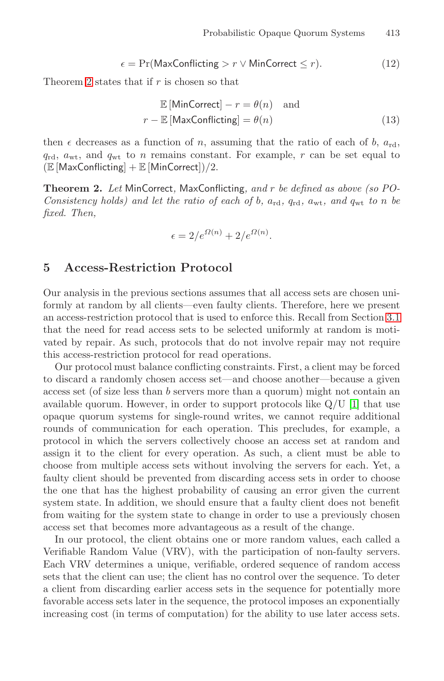$$
\epsilon = \Pr(\text{MaxConflicing} > r \lor \text{MinCorrect} \le r). \tag{12}
$$

Theorem 2 states that if  $r$  is chosen so that

$$
\mathbb{E} [\text{MinCorrect}] - r = \theta(n) \text{ and}
$$
  

$$
r - \mathbb{E} [\text{MaxConficting}] = \theta(n)
$$
 (13)

<span id="page-10-0"></span>then  $\epsilon$  decreases as a function of n, assuming that the ratio of each of b,  $a_{rd}$ ,  $q_{\rm rd}$ ,  $a_{\rm wt}$ , and  $q_{\rm wt}$  to n remains constant. For example, r can be set equal to  $(E[\text{MaxConfig}] + E[\text{MinCorrect}])/2.$ 

**Theorem 2.** *Let* MinCorrect*,* MaxConflicting*, and* <sup>r</sup> *be defined as above (so PO-Consistency holds) and let the ratio of each of* b*,* ard*,* qrd*,* awt*, and* qwt *to* n *be fixed. Then,*

$$
\epsilon = 2/e^{\Omega(n)} + 2/e^{\Omega(n)}.
$$

## **5 Access-Restriction Protocol**

Our analysis in the previous sections assumes that all access sets are chosen uniformly at random by all clients—even faulty clie[nts](#page-15-0). Therefore, here we present an access-restriction protocol that is used to enforce this. Recall from Section 3.1 that the need for read access sets to be selected uniformly at random is motivated by repair. As such, protocols that do not involve repair may not require this access-restriction protocol for read operations.

Our protocol must balance conflicting constraints. First, a client may be forced to discard a randomly chosen access set—and choose another—because a given access set (of size less than b servers more than a quorum) might not contain an available quorum. However, in order to support protocols like  $Q/U$  [1] that use opaque quorum systems for single-round writes, we cannot require additional rounds of communication for each operation. This precludes, for example, a protocol in which the servers collectively choose an access set at random and assign it to the client for every operation. As such, a client must be able to choose from multiple access sets without involving the servers for each. Yet, a faulty client should be prevented from discarding access sets in order to choose the one that has the highest probability of causing an error given the current system state. In addition, we should ensure that a faulty client does not benefit from waiting for the system state to change in order to use a previously chosen access set that becomes more advantageous as a result of the change.

In our protocol, the client obtains one or more random values, each called a Verifiable Random Value (VRV), with the participation of non-faulty servers. Each VRV determines a unique, verifiable, ordered sequence of random access sets that the client can use; the client has no control over the sequence. To deter a client from discarding earlier access sets in the sequence for potentially more favorable access sets later in the sequence, the protocol imposes an exponentially increasing cost (in terms of computation) for the ability to use later access sets.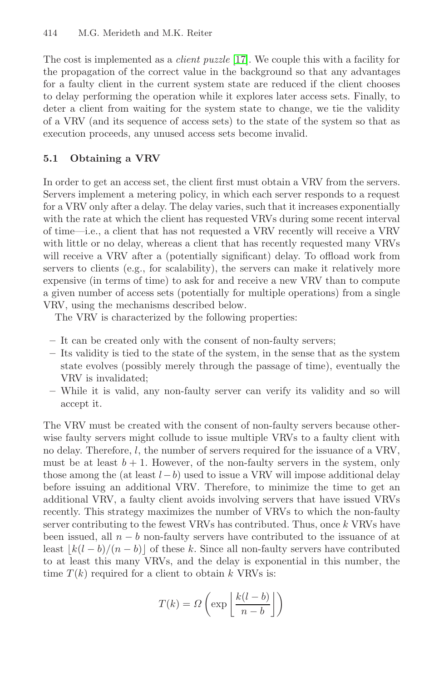The cost is implemented as a *client puzzle* [17]. We couple this with a facility for the propagation of the correct value in the background so that any advantages for a faulty client in the current system state are reduced if the client chooses to delay performing the operation while it explores later access sets. Finally, to deter a client from waiting for the system state to change, we tie the validity of a VRV (and its sequence of access sets) to the state of the system so that as execution proceeds, any unused access sets become invalid.

#### **5.1 Obtaining a VRV**

In order to get an access set, the client first must obtain a VRV from the servers. Servers implement a metering policy, in which each server responds to a request for a VRV only after a delay. The delay varies, such that it increases exponentially with the rate at which the client has requested VRVs during some recent interval of time—i.e., a client that has not requested a VRV recently will receive a VRV with little or no delay, whereas a client that has recently requested many VRVs will receive a VRV after a (potentially significant) delay. To offload work from servers to clients (e.g., for scalability), the servers can make it relatively more expensive (in terms of time) to ask for and receive a new VRV than to compute a given number of access sets (potentially for multiple operations) from a single VRV, using the mechanisms described below.

The VRV is characterized by the following properties:

- **–** It can be created only with the consent of non-faulty servers;
- **–** Its validity is tied to the state of the system, in the sense that as the system state evolves (possibly merely through the passage of time), eventually the VRV is invalidated;
- **–** While it is valid, any non-faulty server can verify its validity and so will accept it.

The VRV must be created with the consent of non-faulty servers because otherwise faulty servers might collude to issue multiple VRVs to a faulty client with no delay. Therefore, l, the number of servers required for the issuance of a VRV, must be at least  $b + 1$ . However, of the non-faulty servers in the system, only those among the (at least  $l-b$ ) used to issue a VRV will impose additional delay before issuing an additional VRV. Therefore, to minimize the time to get an additional VRV, a faulty client avoids involving servers that have issued VRVs recently. This strategy maximizes the number of VRVs to which the non-faulty server contributing to the fewest VRVs has contributed. Thus, once k VRVs have been issued, all  $n - b$  non-faulty servers have contributed to the issuance of at least  $\lfloor k(l-b)/(n-b) \rfloor$  of these k. Since all non-faulty servers have contributed to at least this many VRVs, and the delay is exponential in this number, the time  $T(k)$  required for a client to obtain k VRVs is:

$$
T(k) = \Omega \left( \exp \left[ \frac{k(l-b)}{n-b} \right] \right)
$$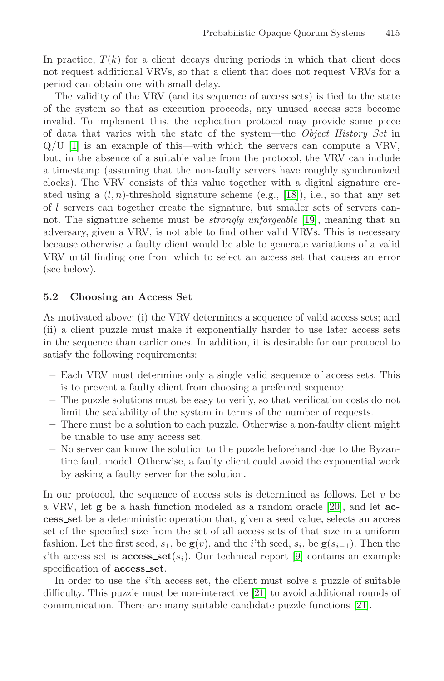In practice,  $T(k)$  for a client decays during periods in which that client does not request additional VRVs, so that a client that does not request VRVs for a period can obtain one with small delay.

The validity of the VRV (and it[s se](#page-16-7)quence of access sets) is tied to the state of the system so that as execution proceeds, any unused access sets become invalid. To implement this, the repli[catio](#page-16-8)n protocol may provide some piece of data that varies with the state of the system—the *Object History Set* in  $Q/U$  [1] is an example of this—with which the servers can compute a VRV, but, in the absence of a suitable value from the protocol, the VRV can include a timestamp (assuming that the non-faulty servers have roughly synchronized clocks). The VRV consists of this value together with a digital signature created using a  $(l, n)$ -threshold signature scheme (e.g., [18]), i.e., so that any set of l servers can together create the signature, but smaller sets of servers cannot. The signature scheme must be *strongly unforgeable* [19], meaning that an adversary, given a VRV, is not able to find other valid VRVs. This is necessary because otherwise a faulty client would be able to generate variations of a valid VRV until finding one from which to select an access set that causes an error (see below).

# **5.2 Choosing an Access Set**

As motivated above: (i) the VRV determines a sequence of valid access sets; and (ii) a client puzzle must make it exponentially harder to use later access sets in the sequence than earlier ones. In addition, it is desirable for our protocol to satisfy the following requirements:

- **–** Each VRV must determine only a single valid sequence of access sets. This is to prevent a faulty client from choosing a preferred sequence.
- **–** The puzzle solutions must be easy to verify, so that verification costs do not limit the scalability of the system in ter[ms](#page-16-9) of the number of requests.
- **–** There must be a solution to each puzzle. Otherwise a non-faulty client might be unable to use any access set.
- **–** No server can know the solution to the puzzle beforehand due to the Byzantine fault model. Otherwise, a fa[ult](#page-15-6)y client could avoid the exponential work by asking a faulty server for the solution.

In our protocol, the seque[nce](#page-16-10) of access sets is determined as follows. Let  $v$  be a VRV, let **g** be a hash function modeled as a ra[ndo](#page-16-10)m oracle [20], and let **access set** be a deterministic operation that, given a seed value, selects an access set of the specified size from the set of all access sets of that size in a uniform fashion. Let the first seed,  $s_1$ , be  $\mathbf{g}(v)$ , and the *i*'th seed,  $s_i$ , be  $\mathbf{g}(s_{i-1})$ . Then the i'th access set is  $\textbf{access}.\textbf{set}(s_i)$ . Our technical report [9] contains an example specification of **access set**.

In order to use the *i*'th access set, the client must solve a puzzle of suitable difficulty. This puzzle must be non-interactive [21] to avoid additional rounds of communication. There are many suitable candidate puzzle functions [21].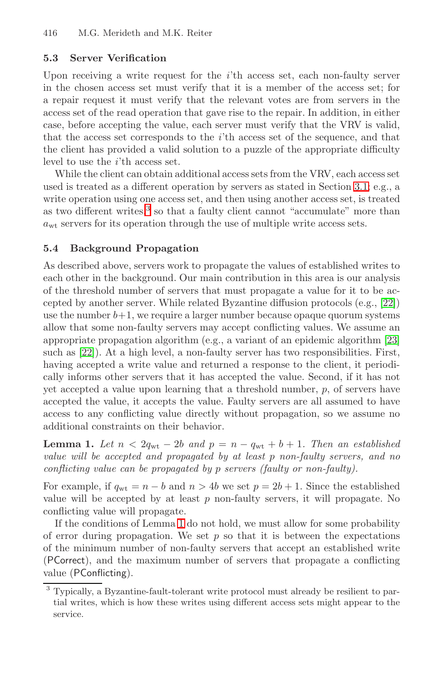#### **5.3 Server Verification**

Upon receiving a write request for the *i*'th access set, each non-faulty server in the chosen access set must verify that it is a [mem](#page-3-0)ber of the access set; for a repair request it must verify that the relevant votes are from servers in the acc[es](#page-13-0)s set of the read operation that gave rise to the repair. In addition, in either case, before accepting the value, each server must verify that the VRV is valid, that the access set corresponds to the *i*'th access set of the sequence, and that the client has provided a valid solution to a puzzle of the appropriate difficulty level to use the *i*'th access set.

While the client can obtain additional access sets from the VRV, each access set used is treated as a different operation by servers as stated in Section 3.1; e.g., a write operation using one access set, and then using another access set, is treated as two different writes, $3$  so that a faulty client cannot "[accu](#page-16-11)mulate" more than  $a_{\rm wt}$  servers for its operation through the use of multiple write access sets.

#### **5.4 Background Propagation**

<span id="page-13-1"></span>As described above, servers work to propagate the values of established writes to each other in the background. Our main contribution in this area is our analysis of the threshold number of servers that must propagate a value for it to be accepted by another server. While related Byzantine diffusion protocols (e.g., [22]) use the number  $b+1$ , we require a larger number because opaque quorum systems allow that some non-faulty servers may accept conflicting values. We assume an appropriate propagation algorithm (e.g., a variant of an epidemic algorithm [23] such as [22]). At a high level, a non-faulty server has two responsibilities. First, having accepted a write value and returned a response to the client, it periodically informs other servers that it has accepted the value. Second, if it has not yet accepted a value upon learning that a threshold number, p, of servers have accepted the value, it accepts the value. Faulty servers are all assumed to have access to any conflicting value directly without propagation, so we assume no additional [co](#page-13-1)nstraints on their behavior.

**Lemma 1.** *Let*  $n < 2q_{wt} - 2b$  *and*  $p = n - q_{wt} + b + 1$ *. Then an established value will be accepted and propagated by at least* p *non-faulty servers, and no conflicting value can be propagated by* p *servers (faulty or non-faulty).*

For example, if  $q_{wt} = n - b$  and  $n > 4b$  we set  $p = 2b + 1$ . Since the established value will be accepted by at least  $p$  non-faulty servers, it will propagate. No conflicting value will propagate.

<span id="page-13-0"></span>If the conditions of Lemma 1 do not hold, we must allow for some probability of error during propagation. We set  $p$  so that it is between the expectations of the minimum number of non-faulty servers that accept an established write (PCorrect), and the maximum number of servers that propagate a conflicting value (PConflicting).

<sup>3</sup> Typically, a Byzantine-fault-tolerant write protocol must already be resilient to partial writes, which is how these writes using different access sets might appear to the service.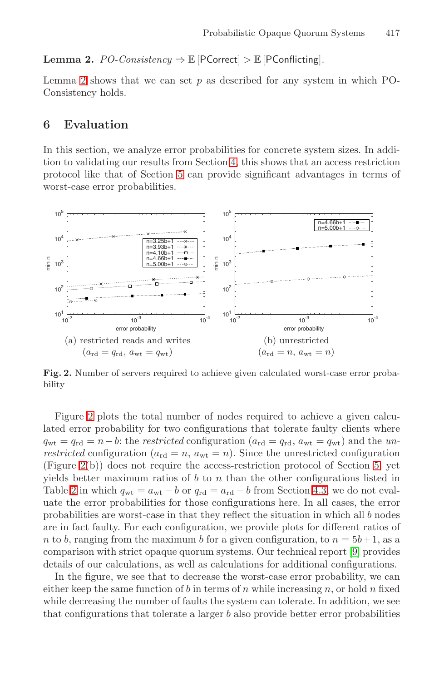**Lemma 2.** *PO-Consi[ste](#page-5-0)ncy*  $\Rightarrow$   $\mathbb{E}$  [PCorrect]  $>$   $\mathbb{E}$  [PConflicting].

Lemma 2 [sh](#page-10-0)ows that we can set  $p$  as described for any system in which PO-Consistency holds.

# **6 Evaluation**

In this section, we analyze error probabilities for concrete system sizes. In addition to validating our results from Section 4, this shows that an access restriction protocol like that of Section 5 can provide significant advantages in terms of worst-case error probabilities.



**Fig. 2.** Number of servers required to achieve given calcula[te](#page-10-0)d worst-case error probability

Figure 2 plots the total number of nodes required to achieve a given calculated error probability for two configurations that tolerate faulty clients where  $q_{\rm wt} = q_{\rm rd} = n - b$ : the *restricted* configuration  $(a_{\rm rd} = q_{\rm rd}, a_{\rm wt} = q_{\rm wt})$  and the *unrestricted* configuration ( $a_{\text{rd}} = n$ ,  $a_{\text{wt}} = n$ ). Since [th](#page-15-6)e unrestricted configuration (Figure 2(b)) does not require the access-restriction protocol of Section 5, yet yields better maximum ratios of  $b$  to  $n$  than the other configurations listed in Table 2 in which  $q_{\rm wt} = a_{\rm wt} - b$  or  $q_{\rm rd} = a_{\rm rd} - b$  from Section 4.3, we do not evaluate the error probabilities for those configurations here. In all cases, the error probabilities are worst-case in that they reflect the situation in which all b nodes are in fact faulty. For each configuration, we provide plots for different ratios of n to b, ranging from the maximum b for a given configuration, to  $n = 5b + 1$ , as a comparison with strict opaque quorum systems. Our technical report [9] provides details of our calculations, as well as calculations for additional configurations.

In the figure, we see that to decrease the worst-case error probability, we can either keep the same function of b in terms of n while increasing n, or hold n fixed while decreasing the number of faults the system can tolerate. In addition, we see that configurations that tolerate a larger b also provide better error probabilities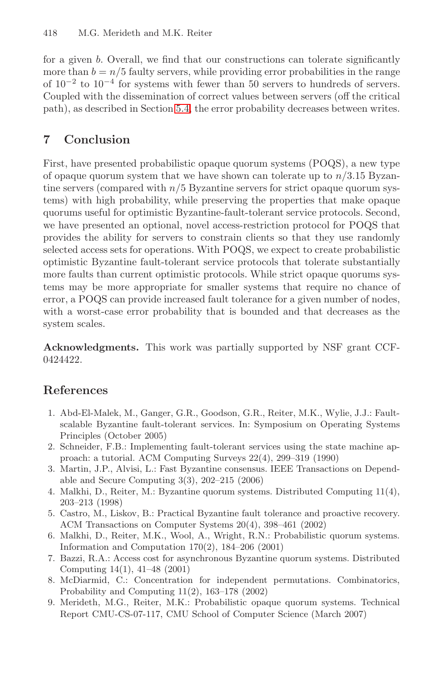for a given b. Overall, we find that our constructions can tolerate significantly more than  $b = n/5$  faulty servers, while providing error probabilities in the range of  $10^{-2}$  to  $10^{-4}$  for systems with fewer than 50 servers to hundreds of servers. Coupled with the dissemination of correct values between servers (off the critical path), as described in Section 5.4, the error probability decreases between writes.

# **7 Conclusion**

First, have presented probabilistic opaque quorum systems (POQS), a new type of opaque quorum system that we have shown can tolerate up to  $n/3.15$  Byzantine servers (compared with  $n/5$  Byzantine servers for strict opaque quorum systems) with high probability, while preserving the properties that make opaque quorums useful for optimistic Byzantine-fault-tolerant service protocols. Second, we have presented an optional, novel access-restriction protocol for POQS that provides the ability for servers to constrain clients so that they use randomly selected access sets for operations. With POQS, we expect to create probabilistic optimistic Byzantine fault-tolerant service protocols that tolerate substantially more faults than current optimistic protocols. While strict opaque quorums systems may be more appropriate for smaller systems that require no chance of error, a POQS can provide increased fault tolerance for a given number of nodes, with a worst-case error probability that is bounded and that decreases as the system scales.

<span id="page-15-2"></span><span id="page-15-1"></span><span id="page-15-0"></span>**Acknowledgments.** This work was partially supported by NSF grant CCF-0424422.

### <span id="page-15-5"></span><span id="page-15-4"></span><span id="page-15-3"></span>**References**

- 1. Abd-El-Malek, M., Ganger, G.R., Goodson, G.R., Reiter, M.K., Wylie, J.J.: Faultscalable Byzantine fault-tolerant services. In: Symposium on Operating Systems Principles (October 2005)
- 2. Schneider, F.B.: Implementing fault-tolerant services using the state machine approach: a tutorial. ACM Computing Surveys 22(4), 299–319 (1990)
- 3. Martin, J.P., Alvisi, L.: Fast Byzantine consensus. IEEE Transactions on Dependable and Secure Computing 3(3), 202–215 (2006)
- <span id="page-15-6"></span>4. Malkhi, D., Reiter, M.: Byzantine quorum systems. Distributed Computing 11(4), 203–213 (1998)
- 5. Castro, M., Liskov, B.: Practical Byzantine fault tolerance and proactive recovery. ACM Transactions on Computer Systems 20(4), 398–461 (2002)
- 6. Malkhi, D., Reiter, M.K., Wool, A., Wright, R.N.: Probabilistic quorum systems. Information and Computation  $170(2)$ ,  $184-206$   $(2001)$
- 7. Bazzi, R.A.: Access cost for asynchronous Byzantine quorum systems. Distributed Computing 14(1), 41–48 (2001)
- 8. McDiarmid, C.: Concentration for independent permutations. Combinatorics, Probability and Computing 11(2), 163–178 (2002)
- 9. Merideth, M.G., Reiter, M.K.: Probabilistic opaque quorum systems. Technical Report CMU-CS-07-117, CMU School of Computer Science (March 2007)